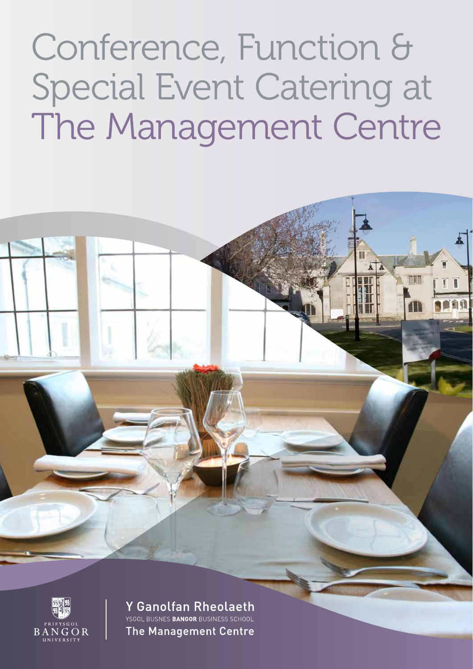Conference, Function & Special Event Catering at The Management Centre





Y Ganolfan Rheolaeth YSGOL BUSNES BANGOR BUSINESS SCHOOL

**The Management Centre**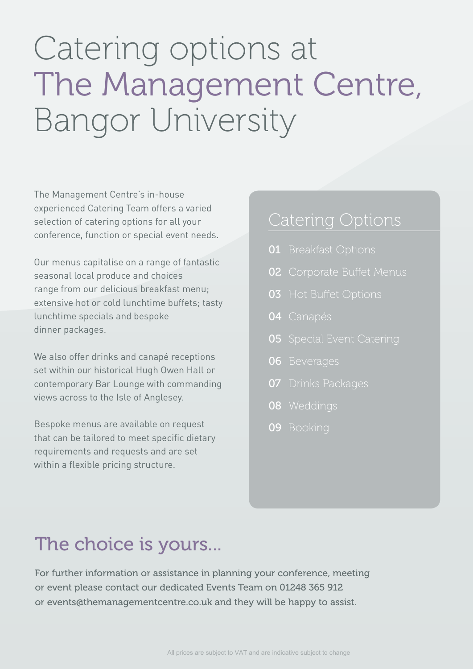# Catering options at The Management Centre, Bangor University

The Management Centre's in-house experienced Catering Team offers a varied selection of catering options for all your conference, function or special event needs.

Our menus capitalise on a range of fantastic seasonal local produce and choices range from our delicious breakfast menu; extensive hot or cold lunchtime buffets; tasty lunchtime specials and bespoke dinner packages.

We also offer drinks and canapé receptions set within our historical Hugh Owen Hall or contemporary Bar Lounge with commanding views across to the Isle of Anglesey.

Bespoke menus are available on request that can be tailored to meet specific dietary requirements and requests and are set within a flexible pricing structure.

### Catering Options

- **01** Breakfast Options
- **02** Corporate Buffet Menus
- **03** Hot Buffet Options
- 04 Canapés
- **05** Special Event Catering
- **06** Beverages
- **07** Drinks Packages
- **08** Weddings
- **09** Booking

## The choice is yours...

For further information or assistance in planning your conference, meeting or event please contact our dedicated Events Team on 01248 365 912 or events@themanagementcentre.co.uk and they will be happy to assist.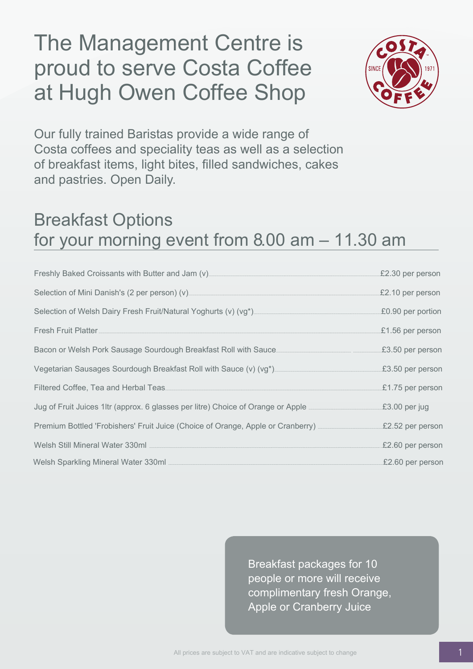# The Management Centre is proud to serve Costa Coffee at Hugh Owen Coffee Shop



Our fully trained Baristas provide a wide range of Costa coffees and speciality teas as well as a selection of breakfast items, light bites, filled sandwiches, cakes and pastries. Open Daily.

### Breakfast Options for your morning event from 8.00 am – 11.30 am

| Freshly Baked Croissants with Butter and Jam (v) <b>EXACT ACT ACT ACT</b> E2.30 per person                              |                  |
|-------------------------------------------------------------------------------------------------------------------------|------------------|
| Selection of Mini Danish's (2 per person) (v) <b>Selection</b> of Mini Danish's (2 per person) (v) and the selection    | £2.10 per person |
|                                                                                                                         |                  |
|                                                                                                                         | £1.56 per person |
|                                                                                                                         |                  |
|                                                                                                                         |                  |
|                                                                                                                         |                  |
| Jug of Fruit Juices 1ltr (approx. 6 glasses per litre) Choice of Orange or Apple <b>Communicate 1991</b> E3.00 per jug  |                  |
| Premium Bottled 'Frobishers' Fruit Juice (Choice of Orange, Apple or Cranberry) <b>ELACCOCCOCCOCCOCCOCCOCCOCCOCCOCC</b> |                  |
|                                                                                                                         | £2.60 per person |
|                                                                                                                         | £2.60 per person |

Breakfast packages for 10 people or more will receive complimentary fresh Orange, Apple or Cranberry Juice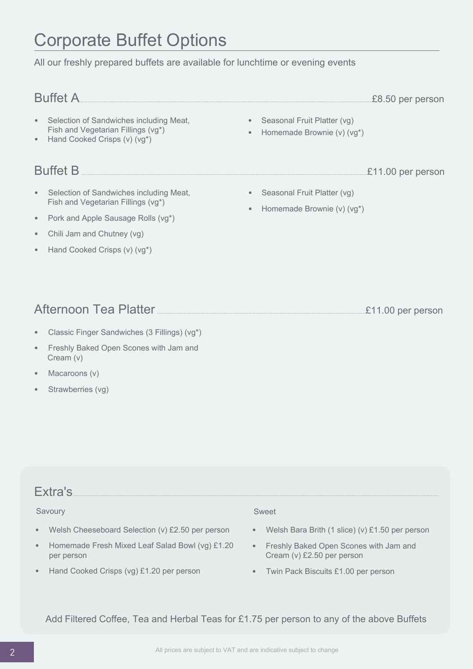### Corporate Buffet Options

All our freshly prepared buffets are available for lunchtime or evening events

| <b>Buffet A</b>                                                                                                                         | £8.50 per person                                          |
|-----------------------------------------------------------------------------------------------------------------------------------------|-----------------------------------------------------------|
| Selection of Sandwiches including Meat,<br>$\bullet$<br>Fish and Vegetarian Fillings (vg*)<br>Hand Cooked Crisps (v) (vg*)<br>$\bullet$ | Seasonal Fruit Platter (vg)<br>Homemade Brownie (v) (vg*) |
| <b>Buffet B</b>                                                                                                                         | £11.00 per person                                         |
| Selection of Sandwiches including Meat,<br>$\bullet$<br>Fish and Vegetarian Fillings (vg*)                                              | Seasonal Fruit Platter (vg)<br>Homemade Brownie (v) (vg*) |
| Pork and Apple Sausage Rolls (vg*)<br>$\bullet$                                                                                         |                                                           |
| Chili Jam and Chutney (vg)                                                                                                              |                                                           |

Afternoon Tea Platter .............................................................................................................................................................................................£11.00 per person

• Freshly Baked Open Scones with Jam and Cream (v)

• Classic Finger Sandwiches (3 Fillings) (vg\*)

• Hand Cooked Crisps (v) (vg\*)

- Macaroons (v)
- Strawberries (vg)

#### Extra's with the contract of the contract of the contract of the contract of the contract of the contract of the contract of the contract of the contract of the contract of the contract of the contract of the contract of t

#### Savoury Savoury Savour Superior Communication of the Sweet

- Welsh Cheeseboard Selection (v) £2.50 per person
- Homemade Fresh Mixed Leaf Salad Bowl (vg) £1.20 per person
- Hand Cooked Crisps (vg) £1.20 per person

- Welsh Bara Brith (1 slice) (v) £1.50 per person
- Freshly Baked Open Scones with Jam and Cream (v) £2.50 per person
- Twin Pack Biscuits £1.00 per person

Add Filtered Coffee, Tea and Herbal Teas for £1.75 per person to any of the above Buffets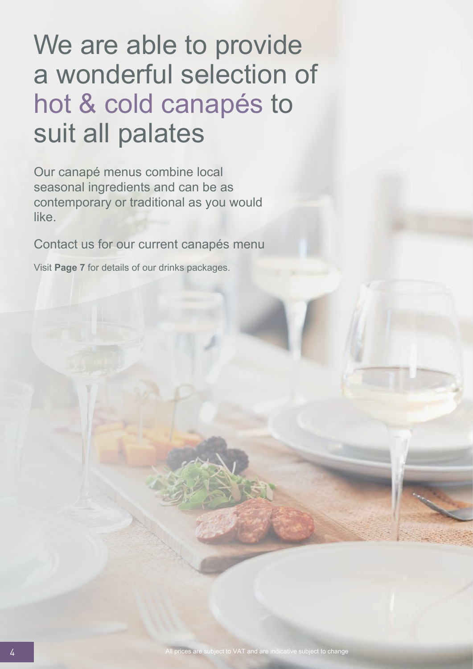# We are able to provide a wonderful selection of hot & cold canapés to suit all palates

Our canapé menus combine local seasonal ingredients and can be as contemporary or traditional as you would like.

Contact us for our current canapés menu

Visit **Page 7** for details of our drinks packages.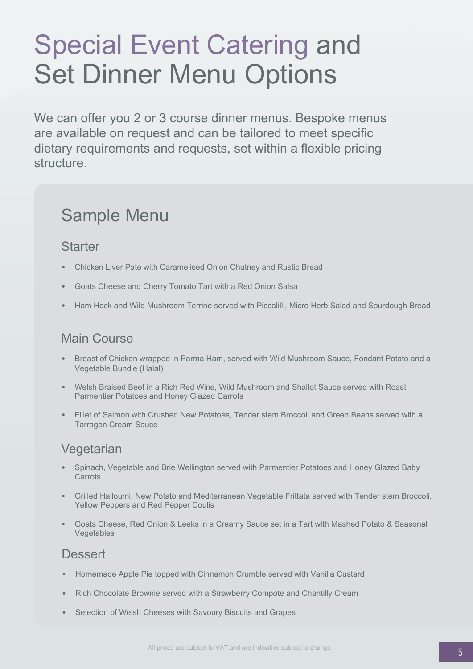# Special Event Catering and Set Dinner Menu Options

Please Choose 1 Starter, 1 Main Course and 1 Dessert to create your own Set Menu and Vegetarian Option.

£25.00 per person 2 Courses, £30.00 per person 3 Courses in our 1884 Restaurant. £48.00 per person 3 Courses Banqueting in Hugh Owen Hall.

(To include Filter Coffee and Truffles, Clothed Banqueting, Tables, Cloth Napkins, all Banqueting Crockery & Glassware)

### Sample Menu

#### **Starter**

- Chicken Liver Pate with Onion Marmalade and Rosemary Crostini (vg\*)
- Leek and Potato Soup, Cream Chive Swirl, Baked Croutons (v) (vg\*) (gf\*)
- Caramelised Onion and Goats Cheese Tart with Balsamic Reduction and Micro Herbs (v)
- Prawn and Smoked Salmon Parcel Dressed with a Horseradish Cream (qf)
- Roasted Vegetable and Brie Filo Pastry served with a Tomato and Herb Sauce (v)
- Prosciutto and Cantaloupe Melon with Rocket and Balsamic Reduction (gf)
- Gilled Peach Panzanella (vg) (gf)

### Main Course

- Roasted Chicken Breast with a White Wine and Tarragon Sauce served with Fondant Potato and Seasonal Vegetables (gf)
- Fillet of Seabass served with a Dill Cream Butter served with Garlic Roasted New Potatoes and Seasonal Vegetables (gf)
- Fillet of Salmon served with Roasted Mediterranean Vegetables, Parmentier Potatoes and a Creamy Tarragon Sauce (gf)
- Wild mushroom and Spinach Pastry Wrapped Roulade topped with a Warm Tomato Salsa served with Garlic Roasted Potatoes and Seasonal Vegetables (vg)
- Welsh Loin of Lamb with Dauphinoise Potatoes, Tender Stem Broccoli, Green Beans and Redcurrant and Mint Sauce (gf)
- Risotto with Porcini Mushrooms (vg)

### **Dessert**

- Chocolate Torte served with a Raspberry and Mango Coulis, Cream (v)  $(vg^*) (gf^*)$
- Sticky Toffee Pudding, Butterscotch Sauce, Vanilla Ice Cream (v)
- Strawberry and Prosecco Sorbet, Crushed Meringue, Seasonal Fresh Berries (gf) (vg\*)
- Homemade Eton Mess with a Mixed Berry Compote, Chantilly Cream (v) (gf) (vg\*)
- Baked Vanilla Cheesecake topped with Raspberries, Clementine's and Pistachios (vg\*)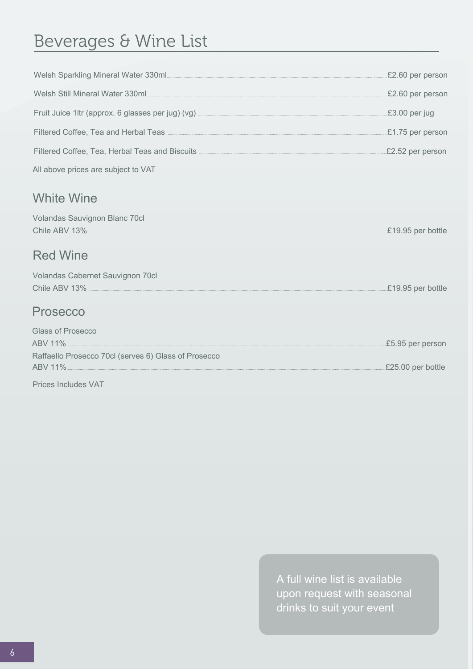### Beverages & Wine List

|                                                                                                                                                                                                                                    | £2.60 per person  |
|------------------------------------------------------------------------------------------------------------------------------------------------------------------------------------------------------------------------------------|-------------------|
|                                                                                                                                                                                                                                    |                   |
| Filtered Coffee, Tea and Herbal Teas <u>Communications</u> of the setting of the setting of the setting of the setting of the setting of the setting of the setting of the setting of the setting of the setting of the setting of |                   |
| Filtered Coffee, Tea, Herbal Teas and Biscuits <u>Campen and Example and Biscuits</u> Content of the State of the State of the State of the State of the State of the State of the State of the State of the State of the State of |                   |
| All above prices are subject to VAT                                                                                                                                                                                                |                   |
| <b>White Wine</b>                                                                                                                                                                                                                  |                   |
| Volandas Sauvignon Blanc 70cl                                                                                                                                                                                                      | £19.95 per bottle |
| <b>Red Wine</b>                                                                                                                                                                                                                    |                   |
| Volandas Cabernet Sauvignon 70cl                                                                                                                                                                                                   | £19.95 per bottle |
| Prosecco                                                                                                                                                                                                                           |                   |
| <b>Glass of Prosecco</b>                                                                                                                                                                                                           | £5.95 per person  |
| Raffaello Prosecco 70cl (serves 6) Glass of Prosecco<br>ABV 11% E25.00 per bottle                                                                                                                                                  |                   |

Prices Includes VAT

A full wine list is available upon request with seasonal drinks to suit your event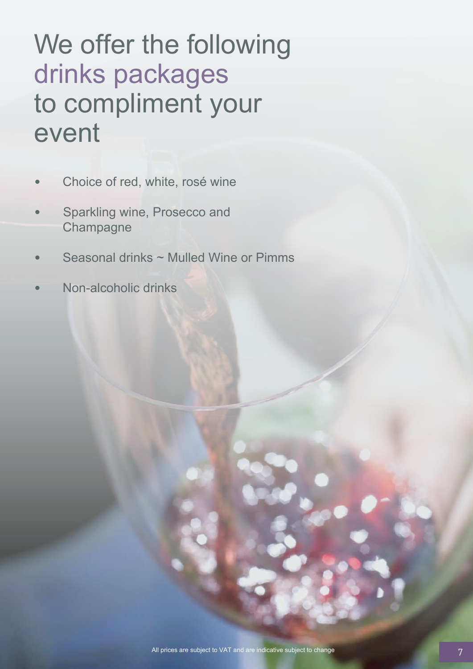# We offer the following drinks packages to compliment your event

- Choice of red, white, rosé wine
- Sparkling wine, Prosecco and **Champagne**
- Seasonal drinks ~ Mulled Wine or Pimms
- Non-alcoholic drinks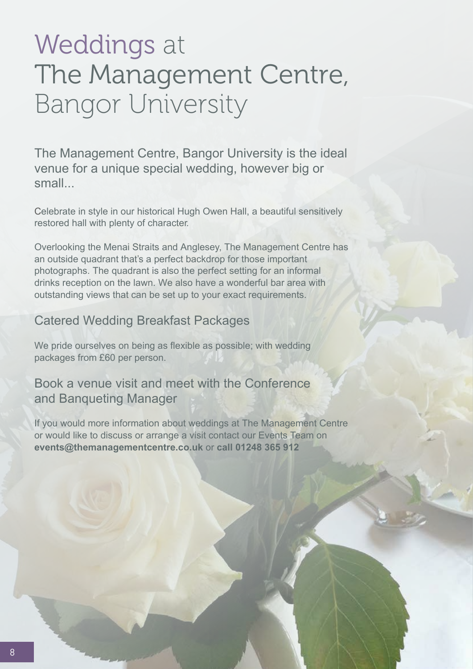# Weddings at The Management Centre, Bangor University

The Management Centre, Bangor University is the ideal venue for a unique special wedding, however big or small...

Celebrate in style in our historical Hugh Owen Hall, a beautiful sensitively restored hall with plenty of character.

Overlooking the Menai Straits and Anglesey, The Management Centre has an outside quadrant that's a perfect backdrop for those important photographs. The quadrant is also the perfect setting for an informal drinks reception on the lawn. We also have a wonderful bar area with outstanding views that can be set up to your exact requirements.

#### Catered Wedding Breakfast Packages

We pride ourselves on being as flexible as possible; with wedding packages from £60 per person.

#### Book a venue visit and meet with the Conference and Banqueting Manager

If you would more information about weddings at The Management Centre or would like to discuss or arrange a visit contact our Events Team on **events@themanagementcentre.co.uk** or **call 01248 365 912**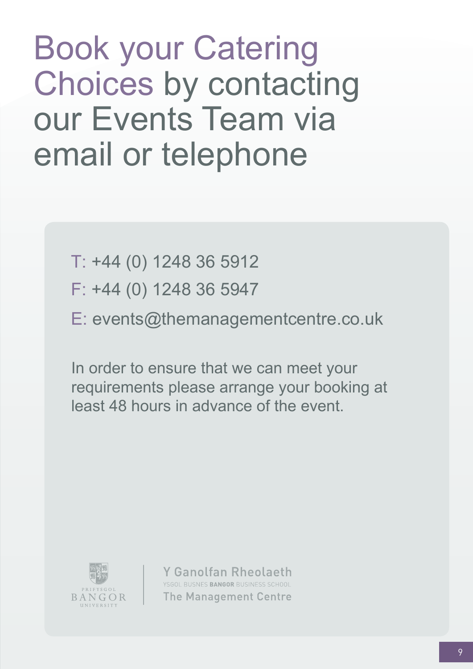Book your Catering Choices by contacting our Events Team via email or telephone

T: +44 (0) 1248 36 5912

F: +44 (0) 1248 36 5947

E: events@themanagementcentre.co.uk

In order to ensure that we can meet your requirements please arrange your booking at least 48 hours in advance of the event.



Y Ganolfan Rheolaeth YSGOL BUSNES BANGOR BUSINESS SCHOOL **The Management Centre**